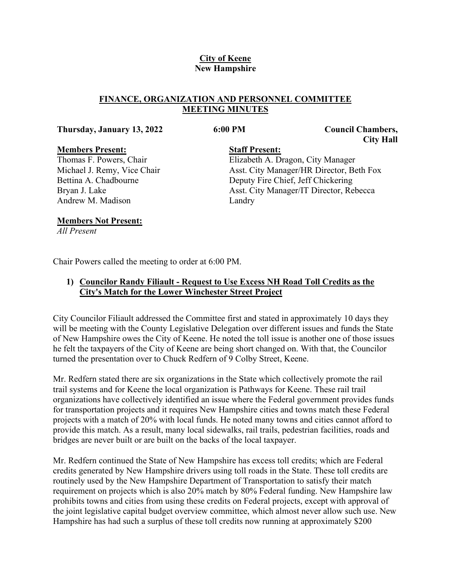### **City of Keene New Hampshire**

#### **FINANCE, ORGANIZATION AND PERSONNEL COMMITTEE MEETING MINUTES**

#### **Thursday, January 13, 2022 6:00 PM Council Chambers,**

#### **Members Present:**

Thomas F. Powers, Chair Michael J. Remy, Vice Chair Bettina A. Chadbourne Bryan J. Lake Andrew M. Madison

**City Hall**

#### **Staff Present:**

Elizabeth A. Dragon, City Manager Asst. City Manager/HR Director, Beth Fox Deputy Fire Chief, Jeff Chickering Asst. City Manager/IT Director, Rebecca Landry

#### **Members Not Present:**

*All Present*

Chair Powers called the meeting to order at 6:00 PM.

## **1) Councilor Randy Filiault - Request to Use Excess NH Road Toll Credits as the City's Match for the Lower Winchester Street Project**

City Councilor Filiault addressed the Committee first and stated in approximately 10 days they will be meeting with the County Legislative Delegation over different issues and funds the State of New Hampshire owes the City of Keene. He noted the toll issue is another one of those issues he felt the taxpayers of the City of Keene are being short changed on. With that, the Councilor turned the presentation over to Chuck Redfern of 9 Colby Street, Keene.

Mr. Redfern stated there are six organizations in the State which collectively promote the rail trail systems and for Keene the local organization is Pathways for Keene. These rail trail organizations have collectively identified an issue where the Federal government provides funds for transportation projects and it requires New Hampshire cities and towns match these Federal projects with a match of 20% with local funds. He noted many towns and cities cannot afford to provide this match. As a result, many local sidewalks, rail trails, pedestrian facilities, roads and bridges are never built or are built on the backs of the local taxpayer.

Mr. Redfern continued the State of New Hampshire has excess toll credits; which are Federal credits generated by New Hampshire drivers using toll roads in the State. These toll credits are routinely used by the New Hampshire Department of Transportation to satisfy their match requirement on projects which is also 20% match by 80% Federal funding. New Hampshire law prohibits towns and cities from using these credits on Federal projects, except with approval of the joint legislative capital budget overview committee, which almost never allow such use. New Hampshire has had such a surplus of these toll credits now running at approximately \$200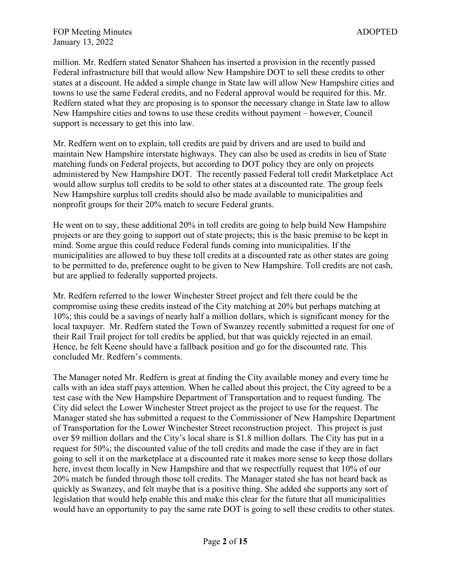million. Mr. Redfern stated Senator Shaheen has inserted a provision in the recently passed Federal infrastructure bill that would allow New Hampshire DOT to sell these credits to other states at a discount. He added a simple change in State law will allow New Hampshire cities and towns to use the same Federal credits, and no Federal approval would be required for this. Mr. Redfern stated what they are proposing is to sponsor the necessary change in State law to allow New Hampshire cities and towns to use these credits without payment – however, Council support is necessary to get this into law.

Mr. Redfern went on to explain, toll credits are paid by drivers and are used to build and maintain New Hampshire interstate highways. They can also be used as credits in lieu of State matching funds on Federal projects, but according to DOT policy they are only on projects administered by New Hampshire DOT. The recently passed Federal toll credit Marketplace Act would allow surplus toll credits to be sold to other states at a discounted rate. The group feels New Hampshire surplus toll credits should also be made available to municipalities and nonprofit groups for their 20% match to secure Federal grants.

He went on to say, these additional 20% in toll credits are going to help build New Hampshire projects or are they going to support out of state projects; this is the basic premise to be kept in mind. Some argue this could reduce Federal funds coming into municipalities. If the municipalities are allowed to buy these toll credits at a discounted rate as other states are going to be permitted to do, preference ought to be given to New Hampshire. Toll credits are not cash, but are applied to federally supported projects.

Mr. Redfern referred to the lower Winchester Street project and felt there could be the compromise using these credits instead of the City matching at 20% but perhaps matching at 10%; this could be a savings of nearly half a million dollars, which is significant money for the local taxpayer. Mr. Redfern stated the Town of Swanzey recently submitted a request for one of their Rail Trail project for toll credits be applied, but that was quickly rejected in an email. Hence, he felt Keene should have a fallback position and go for the discounted rate. This concluded Mr. Redfern's comments.

The Manager noted Mr. Redfern is great at finding the City available money and every time he calls with an idea staff pays attention. When he called about this project, the City agreed to be a test case with the New Hampshire Department of Transportation and to request funding. The City did select the Lower Winchester Street project as the project to use for the request. The Manager stated she has submitted a request to the Commissioner of New Hampshire Department of Transportation for the Lower Winchester Street reconstruction project. This project is just over \$9 million dollars and the City's local share is \$1.8 million dollars. The City has put in a request for 50%; the discounted value of the toll credits and made the case if they are in fact going to sell it on the marketplace at a discounted rate it makes more sense to keep those dollars here, invest them locally in New Hampshire and that we respectfully request that 10% of our 20% match be funded through those toll credits. The Manager stated she has not heard back as quickly as Swanzey, and felt maybe that is a positive thing. She added she supports any sort of legislation that would help enable this and make this clear for the future that all municipalities would have an opportunity to pay the same rate DOT is going to sell these credits to other states.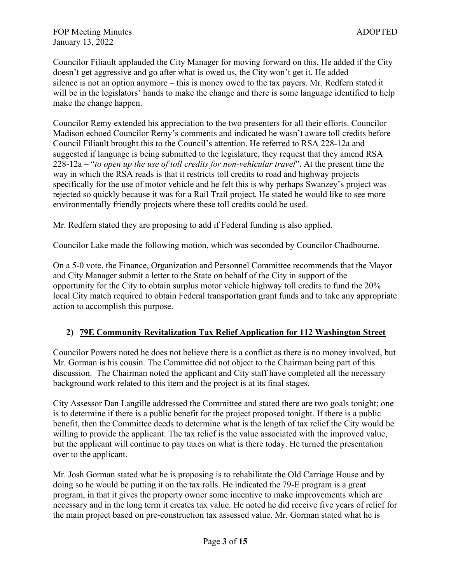Councilor Filiault applauded the City Manager for moving forward on this. He added if the City doesn't get aggressive and go after what is owed us, the City won't get it. He added silence is not an option anymore – this is money owed to the tax payers. Mr. Redfern stated it will be in the legislators' hands to make the change and there is some language identified to help make the change happen.

Councilor Remy extended his appreciation to the two presenters for all their efforts. Councilor Madison echoed Councilor Remy's comments and indicated he wasn't aware toll credits before Council Filiault brought this to the Council's attention. He referred to RSA 228-12a and suggested if language is being submitted to the legislature, they request that they amend RSA 228-12a – "*to open up the use of toll credits for non-vehicular travel*". At the present time the way in which the RSA reads is that it restricts toll credits to road and highway projects specifically for the use of motor vehicle and he felt this is why perhaps Swanzey's project was rejected so quickly because it was for a Rail Trail project. He stated he would like to see more environmentally friendly projects where these toll credits could be used.

Mr. Redfern stated they are proposing to add if Federal funding is also applied.

Councilor Lake made the following motion, which was seconded by Councilor Chadbourne.

On a 5-0 vote, the Finance, Organization and Personnel Committee recommends that the Mayor and City Manager submit a letter to the State on behalf of the City in support of the opportunity for the City to obtain surplus motor vehicle highway toll credits to fund the 20% local City match required to obtain Federal transportation grant funds and to take any appropriate action to accomplish this purpose.

# **2) 79E Community Revitalization Tax Relief Application for 112 Washington Street**

Councilor Powers noted he does not believe there is a conflict as there is no money involved, but Mr. Gorman is his cousin. The Committee did not object to the Chairman being part of this discussion. The Chairman noted the applicant and City staff have completed all the necessary background work related to this item and the project is at its final stages.

City Assessor Dan Langille addressed the Committee and stated there are two goals tonight; one is to determine if there is a public benefit for the project proposed tonight. If there is a public benefit, then the Committee deeds to determine what is the length of tax relief the City would be willing to provide the applicant. The tax relief is the value associated with the improved value, but the applicant will continue to pay taxes on what is there today. He turned the presentation over to the applicant.

Mr. Josh Gorman stated what he is proposing is to rehabilitate the Old Carriage House and by doing so he would be putting it on the tax rolls. He indicated the 79-E program is a great program, in that it gives the property owner some incentive to make improvements which are necessary and in the long term it creates tax value. He noted he did receive five years of relief for the main project based on pre-construction tax assessed value. Mr. Gorman stated what he is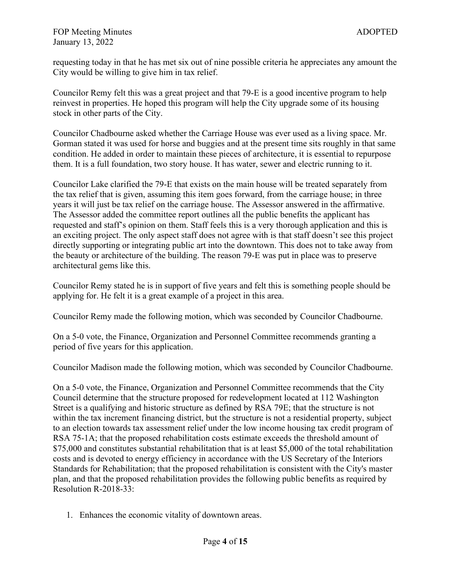requesting today in that he has met six out of nine possible criteria he appreciates any amount the City would be willing to give him in tax relief.

Councilor Remy felt this was a great project and that 79-E is a good incentive program to help reinvest in properties. He hoped this program will help the City upgrade some of its housing stock in other parts of the City.

Councilor Chadbourne asked whether the Carriage House was ever used as a living space. Mr. Gorman stated it was used for horse and buggies and at the present time sits roughly in that same condition. He added in order to maintain these pieces of architecture, it is essential to repurpose them. It is a full foundation, two story house. It has water, sewer and electric running to it.

Councilor Lake clarified the 79-E that exists on the main house will be treated separately from the tax relief that is given, assuming this item goes forward, from the carriage house; in three years it will just be tax relief on the carriage house. The Assessor answered in the affirmative. The Assessor added the committee report outlines all the public benefits the applicant has requested and staff's opinion on them. Staff feels this is a very thorough application and this is an exciting project. The only aspect staff does not agree with is that staff doesn't see this project directly supporting or integrating public art into the downtown. This does not to take away from the beauty or architecture of the building. The reason 79-E was put in place was to preserve architectural gems like this.

Councilor Remy stated he is in support of five years and felt this is something people should be applying for. He felt it is a great example of a project in this area.

Councilor Remy made the following motion, which was seconded by Councilor Chadbourne.

On a 5-0 vote, the Finance, Organization and Personnel Committee recommends granting a period of five years for this application.

Councilor Madison made the following motion, which was seconded by Councilor Chadbourne.

On a 5-0 vote, the Finance, Organization and Personnel Committee recommends that the City Council determine that the structure proposed for redevelopment located at 112 Washington Street is a qualifying and historic structure as defined by RSA 79E; that the structure is not within the tax increment financing district, but the structure is not a residential property, subject to an election towards tax assessment relief under the low income housing tax credit program of RSA 75-1A; that the proposed rehabilitation costs estimate exceeds the threshold amount of \$75,000 and constitutes substantial rehabilitation that is at least \$5,000 of the total rehabilitation costs and is devoted to energy efficiency in accordance with the US Secretary of the Interiors Standards for Rehabilitation; that the proposed rehabilitation is consistent with the City's master plan, and that the proposed rehabilitation provides the following public benefits as required by Resolution R-2018-33:

1. Enhances the economic vitality of downtown areas.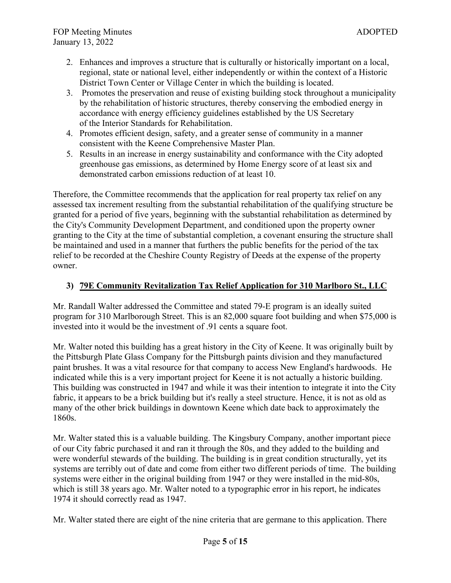- 2. Enhances and improves a structure that is culturally or historically important on a local, regional, state or national level, either independently or within the context of a Historic District Town Center or Village Center in which the building is located.
- 3. Promotes the preservation and reuse of existing building stock throughout a municipality by the rehabilitation of historic structures, thereby conserving the embodied energy in accordance with energy efficiency guidelines established by the US Secretary of the Interior Standards for Rehabilitation.
- 4. Promotes efficient design, safety, and a greater sense of community in a manner consistent with the Keene Comprehensive Master Plan.
- 5. Results in an increase in energy sustainability and conformance with the City adopted greenhouse gas emissions, as determined by Home Energy score of at least six and demonstrated carbon emissions reduction of at least 10.

Therefore, the Committee recommends that the application for real property tax relief on any assessed tax increment resulting from the substantial rehabilitation of the qualifying structure be granted for a period of five years, beginning with the substantial rehabilitation as determined by the City's Community Development Department, and conditioned upon the property owner granting to the City at the time of substantial completion, a covenant ensuring the structure shall be maintained and used in a manner that furthers the public benefits for the period of the tax relief to be recorded at the Cheshire County Registry of Deeds at the expense of the property owner.

### **3) 79E Community Revitalization Tax Relief Application for 310 Marlboro St., LLC**

Mr. Randall Walter addressed the Committee and stated 79-E program is an ideally suited program for 310 Marlborough Street. This is an 82,000 square foot building and when \$75,000 is invested into it would be the investment of .91 cents a square foot.

Mr. Walter noted this building has a great history in the City of Keene. It was originally built by the Pittsburgh Plate Glass Company for the Pittsburgh paints division and they manufactured paint brushes. It was a vital resource for that company to access New England's hardwoods. He indicated while this is a very important project for Keene it is not actually a historic building. This building was constructed in 1947 and while it was their intention to integrate it into the City fabric, it appears to be a brick building but it's really a steel structure. Hence, it is not as old as many of the other brick buildings in downtown Keene which date back to approximately the 1860s.

Mr. Walter stated this is a valuable building. The Kingsbury Company, another important piece of our City fabric purchased it and ran it through the 80s, and they added to the building and were wonderful stewards of the building. The building is in great condition structurally, yet its systems are terribly out of date and come from either two different periods of time. The building systems were either in the original building from 1947 or they were installed in the mid-80s, which is still 38 years ago. Mr. Walter noted to a typographic error in his report, he indicates 1974 it should correctly read as 1947.

Mr. Walter stated there are eight of the nine criteria that are germane to this application. There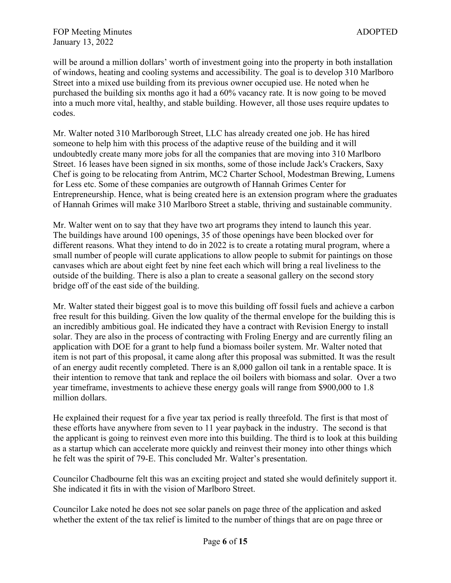will be around a million dollars' worth of investment going into the property in both installation of windows, heating and cooling systems and accessibility. The goal is to develop 310 Marlboro Street into a mixed use building from its previous owner occupied use. He noted when he purchased the building six months ago it had a 60% vacancy rate. It is now going to be moved into a much more vital, healthy, and stable building. However, all those uses require updates to codes.

Mr. Walter noted 310 Marlborough Street, LLC has already created one job. He has hired someone to help him with this process of the adaptive reuse of the building and it will undoubtedly create many more jobs for all the companies that are moving into 310 Marlboro Street. 16 leases have been signed in six months, some of those include Jack's Crackers, Saxy Chef is going to be relocating from Antrim, MC2 Charter School, Modestman Brewing, Lumens for Less etc. Some of these companies are outgrowth of Hannah Grimes Center for Entrepreneurship. Hence, what is being created here is an extension program where the graduates of Hannah Grimes will make 310 Marlboro Street a stable, thriving and sustainable community.

Mr. Walter went on to say that they have two art programs they intend to launch this year. The buildings have around 100 openings, 35 of those openings have been blocked over for different reasons. What they intend to do in 2022 is to create a rotating mural program, where a small number of people will curate applications to allow people to submit for paintings on those canvases which are about eight feet by nine feet each which will bring a real liveliness to the outside of the building. There is also a plan to create a seasonal gallery on the second story bridge off of the east side of the building.

Mr. Walter stated their biggest goal is to move this building off fossil fuels and achieve a carbon free result for this building. Given the low quality of the thermal envelope for the building this is an incredibly ambitious goal. He indicated they have a contract with Revision Energy to install solar. They are also in the process of contracting with Froling Energy and are currently filing an application with DOE for a grant to help fund a biomass boiler system. Mr. Walter noted that item is not part of this proposal, it came along after this proposal was submitted. It was the result of an energy audit recently completed. There is an 8,000 gallon oil tank in a rentable space. It is their intention to remove that tank and replace the oil boilers with biomass and solar. Over a two year timeframe, investments to achieve these energy goals will range from \$900,000 to 1.8 million dollars.

He explained their request for a five year tax period is really threefold. The first is that most of these efforts have anywhere from seven to 11 year payback in the industry. The second is that the applicant is going to reinvest even more into this building. The third is to look at this building as a startup which can accelerate more quickly and reinvest their money into other things which he felt was the spirit of 79-E. This concluded Mr. Walter's presentation.

Councilor Chadbourne felt this was an exciting project and stated she would definitely support it. She indicated it fits in with the vision of Marlboro Street.

Councilor Lake noted he does not see solar panels on page three of the application and asked whether the extent of the tax relief is limited to the number of things that are on page three or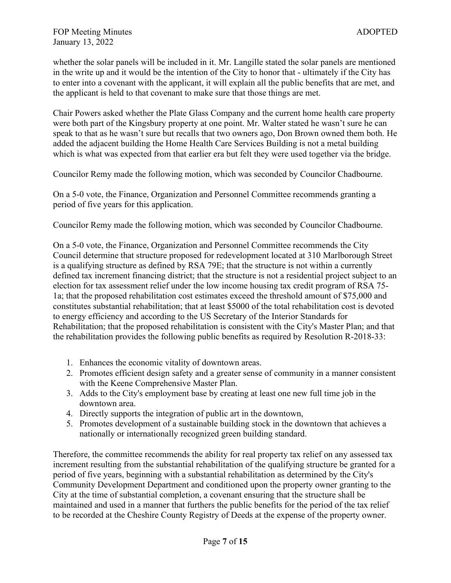whether the solar panels will be included in it. Mr. Langille stated the solar panels are mentioned in the write up and it would be the intention of the City to honor that - ultimately if the City has to enter into a covenant with the applicant, it will explain all the public benefits that are met, and the applicant is held to that covenant to make sure that those things are met.

Chair Powers asked whether the Plate Glass Company and the current home health care property were both part of the Kingsbury property at one point. Mr. Walter stated he wasn't sure he can speak to that as he wasn't sure but recalls that two owners ago, Don Brown owned them both. He added the adjacent building the Home Health Care Services Building is not a metal building which is what was expected from that earlier era but felt they were used together via the bridge.

Councilor Remy made the following motion, which was seconded by Councilor Chadbourne.

On a 5-0 vote, the Finance, Organization and Personnel Committee recommends granting a period of five years for this application.

Councilor Remy made the following motion, which was seconded by Councilor Chadbourne.

On a 5-0 vote, the Finance, Organization and Personnel Committee recommends the City Council determine that structure proposed for redevelopment located at 310 Marlborough Street is a qualifying structure as defined by RSA 79E; that the structure is not within a currently defined tax increment financing district; that the structure is not a residential project subject to an election for tax assessment relief under the low income housing tax credit program of RSA 75- 1a; that the proposed rehabilitation cost estimates exceed the threshold amount of \$75,000 and constitutes substantial rehabilitation; that at least \$5000 of the total rehabilitation cost is devoted to energy efficiency and according to the US Secretary of the Interior Standards for Rehabilitation; that the proposed rehabilitation is consistent with the City's Master Plan; and that the rehabilitation provides the following public benefits as required by Resolution R-2018-33:

- 1. Enhances the economic vitality of downtown areas.
- 2. Promotes efficient design safety and a greater sense of community in a manner consistent with the Keene Comprehensive Master Plan.
- 3. Adds to the City's employment base by creating at least one new full time job in the downtown area.
- 4. Directly supports the integration of public art in the downtown,
- 5. Promotes development of a sustainable building stock in the downtown that achieves a nationally or internationally recognized green building standard.

Therefore, the committee recommends the ability for real property tax relief on any assessed tax increment resulting from the substantial rehabilitation of the qualifying structure be granted for a period of five years, beginning with a substantial rehabilitation as determined by the City's Community Development Department and conditioned upon the property owner granting to the City at the time of substantial completion, a covenant ensuring that the structure shall be maintained and used in a manner that furthers the public benefits for the period of the tax relief to be recorded at the Cheshire County Registry of Deeds at the expense of the property owner.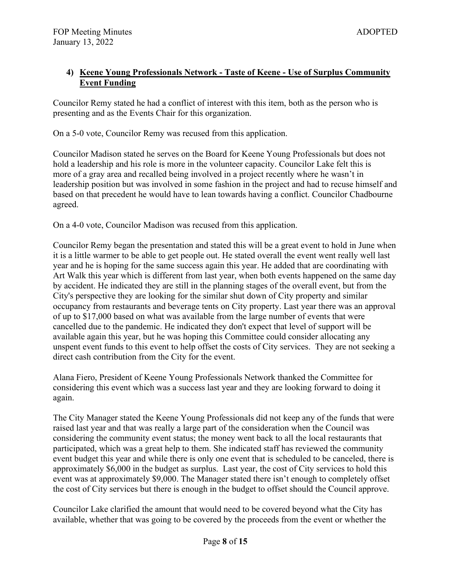## **4) Keene Young Professionals Network - Taste of Keene - Use of Surplus Community Event Funding**

Councilor Remy stated he had a conflict of interest with this item, both as the person who is presenting and as the Events Chair for this organization.

On a 5-0 vote, Councilor Remy was recused from this application.

Councilor Madison stated he serves on the Board for Keene Young Professionals but does not hold a leadership and his role is more in the volunteer capacity. Councilor Lake felt this is more of a gray area and recalled being involved in a project recently where he wasn't in leadership position but was involved in some fashion in the project and had to recuse himself and based on that precedent he would have to lean towards having a conflict. Councilor Chadbourne agreed.

On a 4-0 vote, Councilor Madison was recused from this application.

Councilor Remy began the presentation and stated this will be a great event to hold in June when it is a little warmer to be able to get people out. He stated overall the event went really well last year and he is hoping for the same success again this year. He added that are coordinating with Art Walk this year which is different from last year, when both events happened on the same day by accident. He indicated they are still in the planning stages of the overall event, but from the City's perspective they are looking for the similar shut down of City property and similar occupancy from restaurants and beverage tents on City property. Last year there was an approval of up to \$17,000 based on what was available from the large number of events that were cancelled due to the pandemic. He indicated they don't expect that level of support will be available again this year, but he was hoping this Committee could consider allocating any unspent event funds to this event to help offset the costs of City services. They are not seeking a direct cash contribution from the City for the event.

Alana Fiero, President of Keene Young Professionals Network thanked the Committee for considering this event which was a success last year and they are looking forward to doing it again.

The City Manager stated the Keene Young Professionals did not keep any of the funds that were raised last year and that was really a large part of the consideration when the Council was considering the community event status; the money went back to all the local restaurants that participated, which was a great help to them. She indicated staff has reviewed the community event budget this year and while there is only one event that is scheduled to be canceled, there is approximately \$6,000 in the budget as surplus. Last year, the cost of City services to hold this event was at approximately \$9,000. The Manager stated there isn't enough to completely offset the cost of City services but there is enough in the budget to offset should the Council approve.

Councilor Lake clarified the amount that would need to be covered beyond what the City has available, whether that was going to be covered by the proceeds from the event or whether the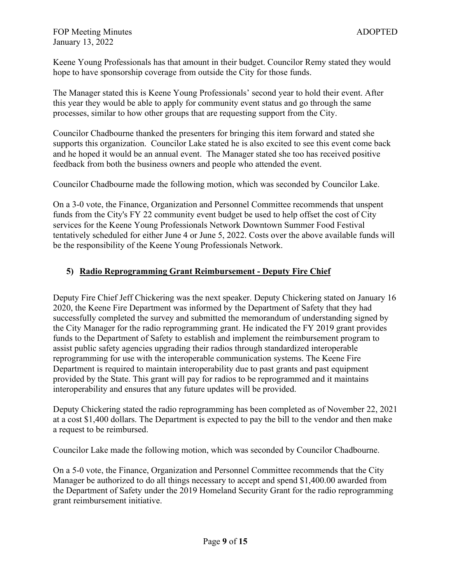Keene Young Professionals has that amount in their budget. Councilor Remy stated they would hope to have sponsorship coverage from outside the City for those funds.

The Manager stated this is Keene Young Professionals' second year to hold their event. After this year they would be able to apply for community event status and go through the same processes, similar to how other groups that are requesting support from the City.

Councilor Chadbourne thanked the presenters for bringing this item forward and stated she supports this organization. Councilor Lake stated he is also excited to see this event come back and he hoped it would be an annual event. The Manager stated she too has received positive feedback from both the business owners and people who attended the event.

Councilor Chadbourne made the following motion, which was seconded by Councilor Lake.

On a 3-0 vote, the Finance, Organization and Personnel Committee recommends that unspent funds from the City's FY 22 community event budget be used to help offset the cost of City services for the Keene Young Professionals Network Downtown Summer Food Festival tentatively scheduled for either June 4 or June 5, 2022. Costs over the above available funds will be the responsibility of the Keene Young Professionals Network.

# **5) Radio Reprogramming Grant Reimbursement - Deputy Fire Chief**

Deputy Fire Chief Jeff Chickering was the next speaker. Deputy Chickering stated on January 16 2020, the Keene Fire Department was informed by the Department of Safety that they had successfully completed the survey and submitted the memorandum of understanding signed by the City Manager for the radio reprogramming grant. He indicated the FY 2019 grant provides funds to the Department of Safety to establish and implement the reimbursement program to assist public safety agencies upgrading their radios through standardized interoperable reprogramming for use with the interoperable communication systems. The Keene Fire Department is required to maintain interoperability due to past grants and past equipment provided by the State. This grant will pay for radios to be reprogrammed and it maintains interoperability and ensures that any future updates will be provided.

Deputy Chickering stated the radio reprogramming has been completed as of November 22, 2021 at a cost \$1,400 dollars. The Department is expected to pay the bill to the vendor and then make a request to be reimbursed.

Councilor Lake made the following motion, which was seconded by Councilor Chadbourne.

On a 5-0 vote, the Finance, Organization and Personnel Committee recommends that the City Manager be authorized to do all things necessary to accept and spend \$1,400.00 awarded from the Department of Safety under the 2019 Homeland Security Grant for the radio reprogramming grant reimbursement initiative.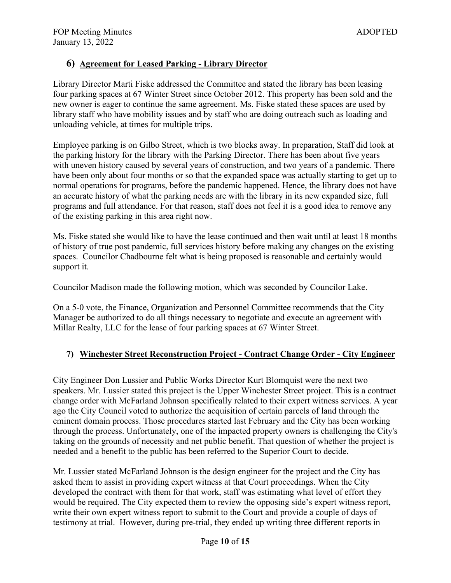# **6) Agreement for Leased Parking - Library Director**

Library Director Marti Fiske addressed the Committee and stated the library has been leasing four parking spaces at 67 Winter Street since October 2012. This property has been sold and the new owner is eager to continue the same agreement. Ms. Fiske stated these spaces are used by library staff who have mobility issues and by staff who are doing outreach such as loading and unloading vehicle, at times for multiple trips.

Employee parking is on Gilbo Street, which is two blocks away. In preparation, Staff did look at the parking history for the library with the Parking Director. There has been about five years with uneven history caused by several years of construction, and two years of a pandemic. There have been only about four months or so that the expanded space was actually starting to get up to normal operations for programs, before the pandemic happened. Hence, the library does not have an accurate history of what the parking needs are with the library in its new expanded size, full programs and full attendance. For that reason, staff does not feel it is a good idea to remove any of the existing parking in this area right now.

Ms. Fiske stated she would like to have the lease continued and then wait until at least 18 months of history of true post pandemic, full services history before making any changes on the existing spaces. Councilor Chadbourne felt what is being proposed is reasonable and certainly would support it.

Councilor Madison made the following motion, which was seconded by Councilor Lake.

On a 5-0 vote, the Finance, Organization and Personnel Committee recommends that the City Manager be authorized to do all things necessary to negotiate and execute an agreement with Millar Realty, LLC for the lease of four parking spaces at 67 Winter Street.

### **7) Winchester Street Reconstruction Project - Contract Change Order - City Engineer**

City Engineer Don Lussier and Public Works Director Kurt Blomquist were the next two speakers. Mr. Lussier stated this project is the Upper Winchester Street project. This is a contract change order with McFarland Johnson specifically related to their expert witness services. A year ago the City Council voted to authorize the acquisition of certain parcels of land through the eminent domain process. Those procedures started last February and the City has been working through the process. Unfortunately, one of the impacted property owners is challenging the City's taking on the grounds of necessity and net public benefit. That question of whether the project is needed and a benefit to the public has been referred to the Superior Court to decide.

Mr. Lussier stated McFarland Johnson is the design engineer for the project and the City has asked them to assist in providing expert witness at that Court proceedings. When the City developed the contract with them for that work, staff was estimating what level of effort they would be required. The City expected them to review the opposing side's expert witness report, write their own expert witness report to submit to the Court and provide a couple of days of testimony at trial. However, during pre-trial, they ended up writing three different reports in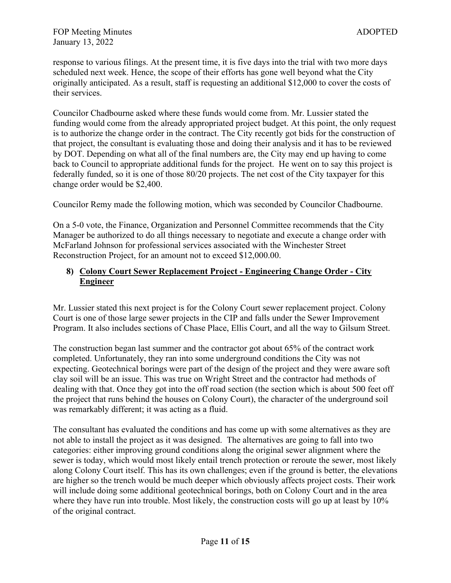response to various filings. At the present time, it is five days into the trial with two more days scheduled next week. Hence, the scope of their efforts has gone well beyond what the City originally anticipated. As a result, staff is requesting an additional \$12,000 to cover the costs of their services.

Councilor Chadbourne asked where these funds would come from. Mr. Lussier stated the funding would come from the already appropriated project budget. At this point, the only request is to authorize the change order in the contract. The City recently got bids for the construction of that project, the consultant is evaluating those and doing their analysis and it has to be reviewed by DOT. Depending on what all of the final numbers are, the City may end up having to come back to Council to appropriate additional funds for the project. He went on to say this project is federally funded, so it is one of those 80/20 projects. The net cost of the City taxpayer for this change order would be \$2,400.

Councilor Remy made the following motion, which was seconded by Councilor Chadbourne.

On a 5-0 vote, the Finance, Organization and Personnel Committee recommends that the City Manager be authorized to do all things necessary to negotiate and execute a change order with McFarland Johnson for professional services associated with the Winchester Street Reconstruction Project, for an amount not to exceed \$12,000.00.

#### **8) Colony Court Sewer Replacement Project - Engineering Change Order - City Engineer**

Mr. Lussier stated this next project is for the Colony Court sewer replacement project. Colony Court is one of those large sewer projects in the CIP and falls under the Sewer Improvement Program. It also includes sections of Chase Place, Ellis Court, and all the way to Gilsum Street.

The construction began last summer and the contractor got about 65% of the contract work completed. Unfortunately, they ran into some underground conditions the City was not expecting. Geotechnical borings were part of the design of the project and they were aware soft clay soil will be an issue. This was true on Wright Street and the contractor had methods of dealing with that. Once they got into the off road section (the section which is about 500 feet off the project that runs behind the houses on Colony Court), the character of the underground soil was remarkably different; it was acting as a fluid.

The consultant has evaluated the conditions and has come up with some alternatives as they are not able to install the project as it was designed. The alternatives are going to fall into two categories: either improving ground conditions along the original sewer alignment where the sewer is today, which would most likely entail trench protection or reroute the sewer, most likely along Colony Court itself. This has its own challenges; even if the ground is better, the elevations are higher so the trench would be much deeper which obviously affects project costs. Their work will include doing some additional geotechnical borings, both on Colony Court and in the area where they have run into trouble. Most likely, the construction costs will go up at least by 10% of the original contract.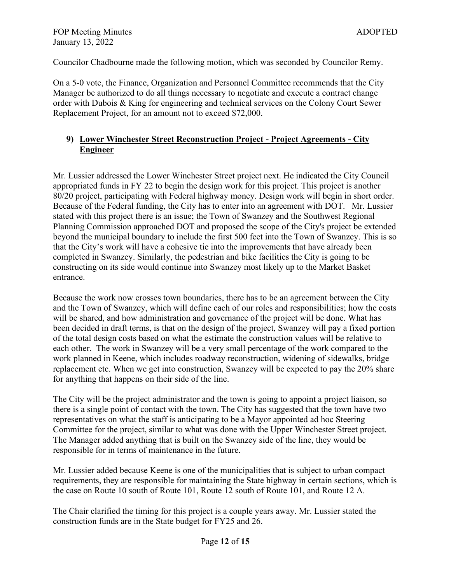Councilor Chadbourne made the following motion, which was seconded by Councilor Remy.

On a 5-0 vote, the Finance, Organization and Personnel Committee recommends that the City Manager be authorized to do all things necessary to negotiate and execute a contract change order with Dubois & King for engineering and technical services on the Colony Court Sewer Replacement Project, for an amount not to exceed \$72,000.

# **9) Lower Winchester Street Reconstruction Project - Project Agreements - City Engineer**

Mr. Lussier addressed the Lower Winchester Street project next. He indicated the City Council appropriated funds in FY 22 to begin the design work for this project. This project is another 80/20 project, participating with Federal highway money. Design work will begin in short order. Because of the Federal funding, the City has to enter into an agreement with DOT. Mr. Lussier stated with this project there is an issue; the Town of Swanzey and the Southwest Regional Planning Commission approached DOT and proposed the scope of the City's project be extended beyond the municipal boundary to include the first 500 feet into the Town of Swanzey. This is so that the City's work will have a cohesive tie into the improvements that have already been completed in Swanzey. Similarly, the pedestrian and bike facilities the City is going to be constructing on its side would continue into Swanzey most likely up to the Market Basket entrance.

Because the work now crosses town boundaries, there has to be an agreement between the City and the Town of Swanzey, which will define each of our roles and responsibilities; how the costs will be shared, and how administration and governance of the project will be done. What has been decided in draft terms, is that on the design of the project, Swanzey will pay a fixed portion of the total design costs based on what the estimate the construction values will be relative to each other. The work in Swanzey will be a very small percentage of the work compared to the work planned in Keene, which includes roadway reconstruction, widening of sidewalks, bridge replacement etc. When we get into construction, Swanzey will be expected to pay the 20% share for anything that happens on their side of the line.

The City will be the project administrator and the town is going to appoint a project liaison, so there is a single point of contact with the town. The City has suggested that the town have two representatives on what the staff is anticipating to be a Mayor appointed ad hoc Steering Committee for the project, similar to what was done with the Upper Winchester Street project. The Manager added anything that is built on the Swanzey side of the line, they would be responsible for in terms of maintenance in the future.

Mr. Lussier added because Keene is one of the municipalities that is subject to urban compact requirements, they are responsible for maintaining the State highway in certain sections, which is the case on Route 10 south of Route 101, Route 12 south of Route 101, and Route 12 A.

The Chair clarified the timing for this project is a couple years away. Mr. Lussier stated the construction funds are in the State budget for FY25 and 26.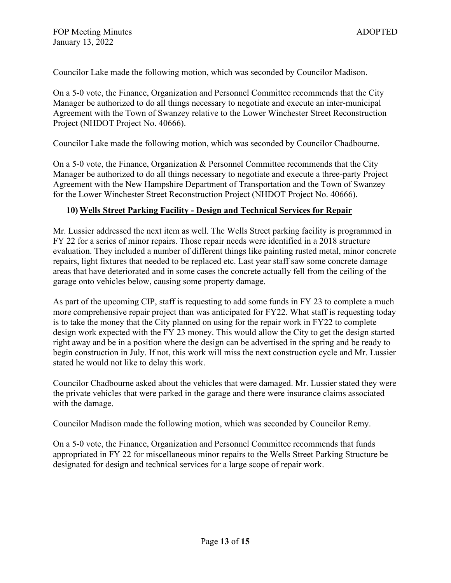Councilor Lake made the following motion, which was seconded by Councilor Madison.

On a 5-0 vote, the Finance, Organization and Personnel Committee recommends that the City Manager be authorized to do all things necessary to negotiate and execute an inter-municipal Agreement with the Town of Swanzey relative to the Lower Winchester Street Reconstruction Project (NHDOT Project No. 40666).

Councilor Lake made the following motion, which was seconded by Councilor Chadbourne.

On a 5-0 vote, the Finance, Organization & Personnel Committee recommends that the City Manager be authorized to do all things necessary to negotiate and execute a three-party Project Agreement with the New Hampshire Department of Transportation and the Town of Swanzey for the Lower Winchester Street Reconstruction Project (NHDOT Project No. 40666).

### **10) Wells Street Parking Facility - Design and Technical Services for Repair**

Mr. Lussier addressed the next item as well. The Wells Street parking facility is programmed in FY 22 for a series of minor repairs. Those repair needs were identified in a 2018 structure evaluation. They included a number of different things like painting rusted metal, minor concrete repairs, light fixtures that needed to be replaced etc. Last year staff saw some concrete damage areas that have deteriorated and in some cases the concrete actually fell from the ceiling of the garage onto vehicles below, causing some property damage.

As part of the upcoming CIP, staff is requesting to add some funds in FY 23 to complete a much more comprehensive repair project than was anticipated for FY22. What staff is requesting today is to take the money that the City planned on using for the repair work in FY22 to complete design work expected with the FY 23 money. This would allow the City to get the design started right away and be in a position where the design can be advertised in the spring and be ready to begin construction in July. If not, this work will miss the next construction cycle and Mr. Lussier stated he would not like to delay this work.

Councilor Chadbourne asked about the vehicles that were damaged. Mr. Lussier stated they were the private vehicles that were parked in the garage and there were insurance claims associated with the damage.

Councilor Madison made the following motion, which was seconded by Councilor Remy.

On a 5-0 vote, the Finance, Organization and Personnel Committee recommends that funds appropriated in FY 22 for miscellaneous minor repairs to the Wells Street Parking Structure be designated for design and technical services for a large scope of repair work.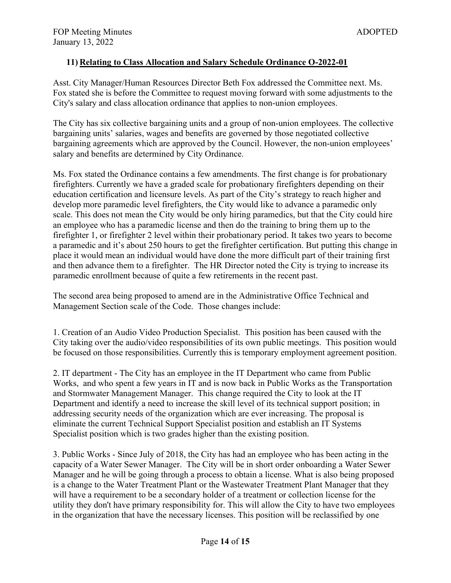## **11) Relating to Class Allocation and Salary Schedule Ordinance O-2022-01**

Asst. City Manager/Human Resources Director Beth Fox addressed the Committee next. Ms. Fox stated she is before the Committee to request moving forward with some adjustments to the City's salary and class allocation ordinance that applies to non-union employees.

The City has six collective bargaining units and a group of non-union employees. The collective bargaining units' salaries, wages and benefits are governed by those negotiated collective bargaining agreements which are approved by the Council. However, the non-union employees' salary and benefits are determined by City Ordinance.

Ms. Fox stated the Ordinance contains a few amendments. The first change is for probationary firefighters. Currently we have a graded scale for probationary firefighters depending on their education certification and licensure levels. As part of the City's strategy to reach higher and develop more paramedic level firefighters, the City would like to advance a paramedic only scale. This does not mean the City would be only hiring paramedics, but that the City could hire an employee who has a paramedic license and then do the training to bring them up to the firefighter 1, or firefighter 2 level within their probationary period. It takes two years to become a paramedic and it's about 250 hours to get the firefighter certification. But putting this change in place it would mean an individual would have done the more difficult part of their training first and then advance them to a firefighter. The HR Director noted the City is trying to increase its paramedic enrollment because of quite a few retirements in the recent past.

The second area being proposed to amend are in the Administrative Office Technical and Management Section scale of the Code. Those changes include:

1. Creation of an Audio Video Production Specialist. This position has been caused with the City taking over the audio/video responsibilities of its own public meetings. This position would be focused on those responsibilities. Currently this is temporary employment agreement position.

2. IT department - The City has an employee in the IT Department who came from Public Works, and who spent a few years in IT and is now back in Public Works as the Transportation and Stormwater Management Manager. This change required the City to look at the IT Department and identify a need to increase the skill level of its technical support position; in addressing security needs of the organization which are ever increasing. The proposal is eliminate the current Technical Support Specialist position and establish an IT Systems Specialist position which is two grades higher than the existing position.

3. Public Works - Since July of 2018, the City has had an employee who has been acting in the capacity of a Water Sewer Manager. The City will be in short order onboarding a Water Sewer Manager and he will be going through a process to obtain a license. What is also being proposed is a change to the Water Treatment Plant or the Wastewater Treatment Plant Manager that they will have a requirement to be a secondary holder of a treatment or collection license for the utility they don't have primary responsibility for. This will allow the City to have two employees in the organization that have the necessary licenses. This position will be reclassified by one